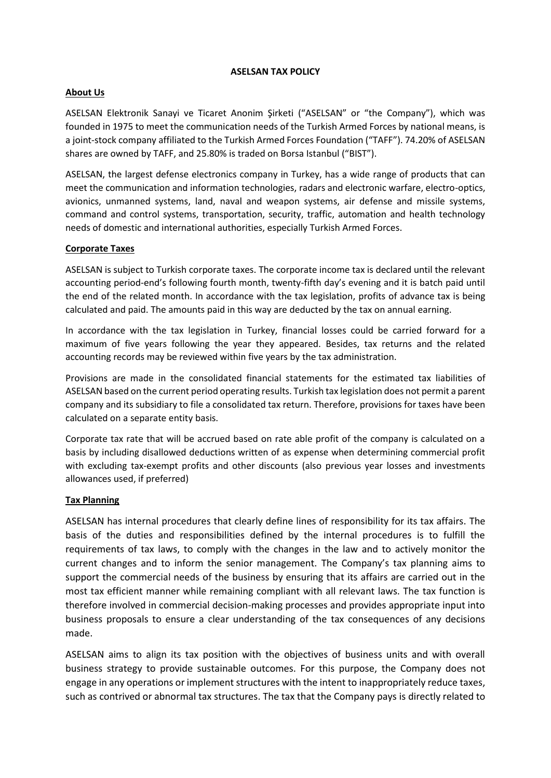#### **ASELSAN TAX POLICY**

## **About Us**

ASELSAN Elektronik Sanayi ve Ticaret Anonim Şirketi ("ASELSAN" or "the Company"), which was founded in 1975 to meet the communication needs of the Turkish Armed Forces by national means, is a joint-stock company affiliated to the Turkish Armed Forces Foundation ("TAFF"). 74.20% of ASELSAN shares are owned by TAFF, and 25.80% is traded on Borsa Istanbul ("BIST").

ASELSAN, the largest defense electronics company in Turkey, has a wide range of products that can meet the communication and information technologies, radars and electronic warfare, electro-optics, avionics, unmanned systems, land, naval and weapon systems, air defense and missile systems, command and control systems, transportation, security, traffic, automation and health technology needs of domestic and international authorities, especially Turkish Armed Forces.

# **Corporate Taxes**

ASELSAN is subject to Turkish corporate taxes. The corporate income tax is declared until the relevant accounting period-end's following fourth month, twenty-fifth day's evening and it is batch paid until the end of the related month. In accordance with the tax legislation, profits of advance tax is being calculated and paid. The amounts paid in this way are deducted by the tax on annual earning.

In accordance with the tax legislation in Turkey, financial losses could be carried forward for a maximum of five years following the year they appeared. Besides, tax returns and the related accounting records may be reviewed within five years by the tax administration.

Provisions are made in the consolidated financial statements for the estimated tax liabilities of ASELSAN based on the current period operating results. Turkish tax legislation does not permit a parent company and its subsidiary to file a consolidated tax return. Therefore, provisions for taxes have been calculated on a separate entity basis.

Corporate tax rate that will be accrued based on rate able profit of the company is calculated on a basis by including disallowed deductions written of as expense when determining commercial profit with excluding tax-exempt profits and other discounts (also previous year losses and investments allowances used, if preferred)

## **Tax Planning**

ASELSAN has internal procedures that clearly define lines of responsibility for its tax affairs. The basis of the duties and responsibilities defined by the internal procedures is to fulfill the requirements of tax laws, to comply with the changes in the law and to actively monitor the current changes and to inform the senior management. The Company's tax planning aims to support the commercial needs of the business by ensuring that its affairs are carried out in the most tax efficient manner while remaining compliant with all relevant laws. The tax function is therefore involved in commercial decision-making processes and provides appropriate input into business proposals to ensure a clear understanding of the tax consequences of any decisions made.

ASELSAN aims to align its tax position with the objectives of business units and with overall business strategy to provide sustainable outcomes. For this purpose, the Company does not engage in any operations or implement structures with the intent to inappropriately reduce taxes, such as contrived or abnormal tax structures. The tax that the Company pays is directly related to